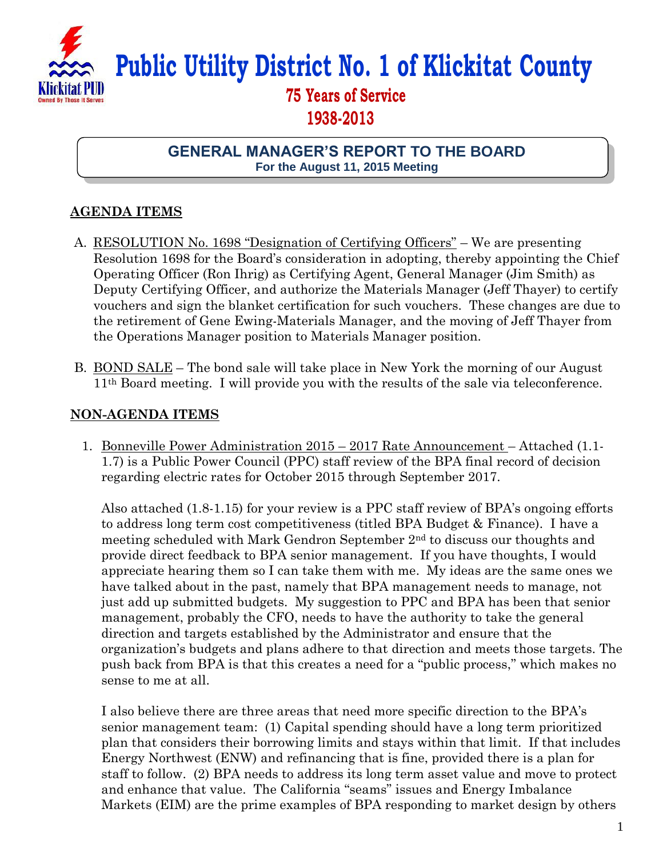

# **Public Utility District No. 1 of Klickitat County**

## **75 Years of Service 1938-2013**

#### **GENERAL MANAGER'S REPORT TO THE BOARD For the August 11, 2015 Meeting**

### **AGENDA ITEMS**

- A. RESOLUTION No. 1698 "Designation of Certifying Officers" We are presenting Resolution 1698 for the Board's consideration in adopting, thereby appointing the Chief Operating Officer (Ron Ihrig) as Certifying Agent, General Manager (Jim Smith) as Deputy Certifying Officer, and authorize the Materials Manager (Jeff Thayer) to certify vouchers and sign the blanket certification for such vouchers. These changes are due to the retirement of Gene Ewing-Materials Manager, and the moving of Jeff Thayer from the Operations Manager position to Materials Manager position.
- B. BOND SALE The bond sale will take place in New York the morning of our August 11th Board meeting. I will provide you with the results of the sale via teleconference.

#### **NON-AGENDA ITEMS**

1. Bonneville Power Administration 2015 – 2017 Rate Announcement – Attached (1.1- 1.7) is a Public Power Council (PPC) staff review of the BPA final record of decision regarding electric rates for October 2015 through September 2017.

Also attached (1.8-1.15) for your review is a PPC staff review of BPA's ongoing efforts to address long term cost competitiveness (titled BPA Budget & Finance). I have a meeting scheduled with Mark Gendron September 2nd to discuss our thoughts and provide direct feedback to BPA senior management. If you have thoughts, I would appreciate hearing them so I can take them with me. My ideas are the same ones we have talked about in the past, namely that BPA management needs to manage, not just add up submitted budgets. My suggestion to PPC and BPA has been that senior management, probably the CFO, needs to have the authority to take the general direction and targets established by the Administrator and ensure that the organization's budgets and plans adhere to that direction and meets those targets. The push back from BPA is that this creates a need for a "public process," which makes no sense to me at all.

I also believe there are three areas that need more specific direction to the BPA's senior management team: (1) Capital spending should have a long term prioritized plan that considers their borrowing limits and stays within that limit. If that includes Energy Northwest (ENW) and refinancing that is fine, provided there is a plan for staff to follow. (2) BPA needs to address its long term asset value and move to protect and enhance that value. The California "seams" issues and Energy Imbalance Markets (EIM) are the prime examples of BPA responding to market design by others